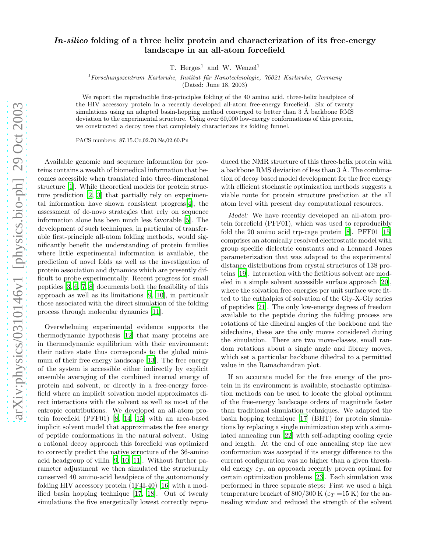## In-silico folding of a three helix protein and characterization of its free-energy landscape in an all-atom forcefield

T. Herges<sup>1</sup> and W. Wenzel<sup>1</sup>

 $1$ Forschungszentrum Karlsruhe, Institut für Nanotechnologie, 76021 Karlsruhe, Germany

(Dated: June 18, 2003)

We report the reproducible first-principles folding of the 40 amino acid, three-helix headpiece of the HIV accessory protein in a recently developed all-atom free-energy forcefield. Six of twenty simulations using an adapted basin-hopping method converged to better than 3 Å backbone RMS deviation to the experimental structure. Using over 60,000 low-energy conformations of this protein, we constructed a decoy tree that completely characterizes its folding funnel.

PACS numbers: 87.15.Cc,02.70.Ns,02.60.Pn

Available genomic and sequence information for proteins contains a wealth of biomedical information that becomes accessible when translated into three-dimensional structure [\[1](#page-3-0)]. While theoretical models for protein structure prediction [\[2,](#page-3-1) [3](#page-3-2)] that partially rely on experimental information have shown consistent progress[\[4\]](#page-3-3), the assessment of de-novo strategies that rely on sequence information alone has been much less favorable [\[5\]](#page-3-4). The development of such techniques, in particular of transferable first-principle all-atom folding methods, would significantly benefit the understanding of protein families where little experimental information is available, the prediction of novel folds as well as the investigation of protein association and dynamics which are presently difficult to probe experimentally. Recent progress for small peptides [\[3,](#page-3-2) [6,](#page-3-5) [7](#page-3-6), [8\]](#page-3-7) documents both the feasibility of this approach as well as its limitations [\[9](#page-3-8), [10](#page-3-9)], in particualr those associated with the direct simulation of the folding process through molecular dynamics [\[11\]](#page-3-10).

Overwhelming experimental evidence supports the thermodynamic hypothesis [\[12](#page-3-11)] that many proteins are in thermodynamic equilibrium with their environment: their native state thus corresponds to the global minimum of their free energy landscape [\[13\]](#page-3-12). The free energy of the system is accessible either indirectly by explicit ensemble averaging of the combined internal energy of protein and solvent, or directly in a free-energy forcefield where an implicit solvation model approximates direct interactions with the solvent as well as most of the entropic contributions. We developed an all-atom protein forcefield (PFF01) [\[8,](#page-3-7) [14,](#page-3-13) [15\]](#page-3-14) with an area-based implicit solvent model that approximates the free energy of peptide conformations in the natural solvent. Using a rational decoy approach this forcefield was optimized to correctly predict the native structure of the 36-amino acid headgroup of villin [\[9,](#page-3-8) [10,](#page-3-9) [11\]](#page-3-10). Without further parameter adjustment we then simulated the structurally conserved 40 amino-acid headpiece of the autonomously folding HIV accessory protein (1F4I-40) [\[16](#page-3-15)] with a modified basin hopping technique [\[17](#page-3-16), [18](#page-3-17)]. Out of twenty simulations the five energetically lowest correctly reproduced the NMR structure of this three-helix protein with a backbone RMS deviation of less than 3 Å. The combination of decoy based model development for the free energy with efficient stochastic optimization methods suggests a viable route for protein structure prediction at the all atom level with present day computational resources.

Model: We have recently developed an all-atom protein forcefield (PFF01), which was used to reproducibly fold the 20 amino acid trp-cage protein [\[8\]](#page-3-7). PFF01 [\[15](#page-3-14)] comprises an atomically resolved electrostatic model with group specific dielectric constants and a Lennard Jones parameterization that was adapted to the experimental distance distributions from crystal structures of 138 proteins [\[19\]](#page-3-18). Interaction with the fictitious solvent are modeled in a simple solvent accessible surface approach [\[20\]](#page-4-0), where the solvation free-energies per unit surface were fitted to the enthalpies of solvation of the Gly-X-Gly series of peptides [\[21](#page-4-1)]. The only low-energy degrees of freedom available to the peptide during the folding process are rotations of the dihedral angles of the backbone and the sidechains, these are the only moves considered during the simulation. There are two move-classes, small random rotations about a single angle and library moves, which set a particular backbone dihedral to a permitted value in the Ramachandran plot.

If an accurate model for the free energy of the protein in its environment is available, stochastic optimization methods can be used to locate the global optimum of the free-energy landscape orders of magnitude faster than traditional simulation techniques. We adapted the basin hopping technique [\[17](#page-3-16)] (BHT) for protein simulations by replacing a single minimization step with a simulated annealing run [\[22](#page-4-2)] with self-adapting cooling cycle and length. At the end of one annealing step the new conformation was accepted if its energy difference to the current configuration was no higher than a given threshold energy  $\varepsilon_T$ , an approach recently proven optimal for certain optimization problems [\[23](#page-4-3)]. Each simulation was performed in three separate steps: First we used a high temperature bracket of 800/300 K ( $\varepsilon_T$  =15 K) for the annealing window and reduced the strength of the solvent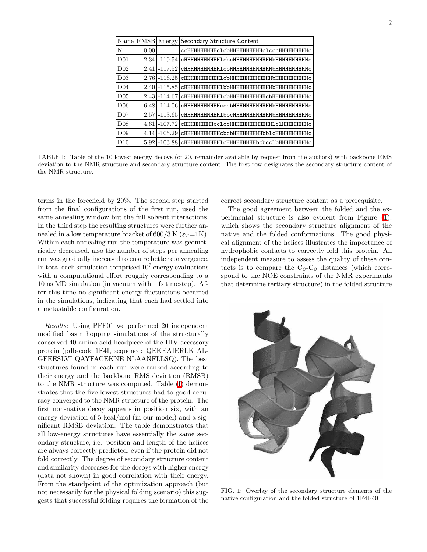|                  | Name RMSB | Energy          | Secondary Structure Content                     |
|------------------|-----------|-----------------|-------------------------------------------------|
| N                | 0.00      |                 | ccHHHHHHHHHclcbHHHHHHHHHHclcccHHHHHHHHHc        |
| D <sub>01</sub>  |           | 2.34 - 119.54   | снининининини съснинининининининининини         |
| D <sub>02</sub>  | 2.41      | $-117.52$       | снининининини съннинининининининининини         |
| D <sub>0.3</sub> |           | $2.76 - 116.25$ | снининининини съннинининининининининини         |
| D <sub>04</sub>  |           | $2.40 - 115.85$ | снининининини орининининининыныныныны с         |
| D <sub>05</sub>  | 2.43      | $-114.67$       | сНННННННННН1 сЪННННННННННСЪНННННННННННС         |
| D <sub>06</sub>  | 6.48      | $-114.06$       |                                                 |
| D <sub>07</sub>  |           | 2.571-113.65    | снининининини орсининининининыныныныны с        |
| D <sub>08</sub>  | 4.61      | $-107.72$       | cHHHHHHHHHcclccHHHHHHHHHHHHHLclHHHHHHHHc        |
| D <sub>09</sub>  | 4.14      | $-106.29$       | сНННННННННННсЪсЪНННННННННЫЪЪ1 сННННННННННН      |
| D10              |           | 5.921-103.88    | <b>СНННННННННН1СНННННННННоСЪСС1ЬННННННННННС</b> |

<span id="page-1-0"></span>TABLE I: Table of the 10 lowest energy decoys (of 20, remainder available by request from the authors) with backbone RMS deviation to the NMR structure and secondary structure content. The first row designates the secondary structure content of the NMR structure.

terms in the forcefield by 20%. The second step started from the final configurations of the first run, used the same annealing window but the full solvent interactions. In the third step the resulting structures were further annealed in a low temperature bracket of 600/3 K ( $\varepsilon_T$ =1K). Within each annealing run the temperature was geometrically decreased, also the number of steps per annealing run was gradually increased to ensure better convergence. In total each simulation comprised  $10^7$  energy evaluations with a computational effort roughly corresponding to a 10 ns MD simulation (in vacuum with 1 fs timestep). After this time no significant energy fluctuations occurred in the simulations, indicating that each had settled into a metastable configuration.

Results: Using PFF01 we performed 20 independent modified basin hopping simulations of the structurally conserved 40 amino-acid headpiece of the HIV accessory protein (pdb-code 1F4I, sequence: QEKEAIERLK AL-GFEESLVI QAYFACEKNE NLAANFLLSQ). The best structures found in each run were ranked according to their energy and the backbone RMS deviation (RMSB) to the NMR structure was computed. Table [\(I\)](#page-1-0) demonstrates that the five lowest structures had to good accuracy converged to the NMR structure of the protein. The first non-native decoy appears in position six, with an energy deviation of 5 kcal/mol (in our model) and a significant RMSB deviation. The table demonstrates that all low-energy structures have essentially the same secondary structure, i.e. position and length of the helices are always correctly predicted, even if the protein did not fold correctly. The degree of secondary structure content and similarity decreases for the decoys with higher energy (data not shown) in good correlation with their energy. From the standpoint of the optimization approach (but not necessarily for the physical folding scenario) this suggests that successful folding requires the formation of the

correct secondary structure content as a prerequisite.

The good agreement between the folded and the experimental structure is also evident from Figure [\(1\)](#page-1-1), which shows the secondary structure alignment of the native and the folded conformations. The good physical alignment of the helices illustrates the importance of hydrophobic contacts to correctly fold this protein. An independent measure to assess the quality of these contacts is to compare the  $C_\beta$ - $C_\beta$  distances (which correspond to the NOE constraints of the NMR experiments that determine tertiary structure) in the folded structure

<span id="page-1-1"></span>

FIG. 1: Overlay of the secondary structure elements of the native configuration and the folded structure of 1F4I-40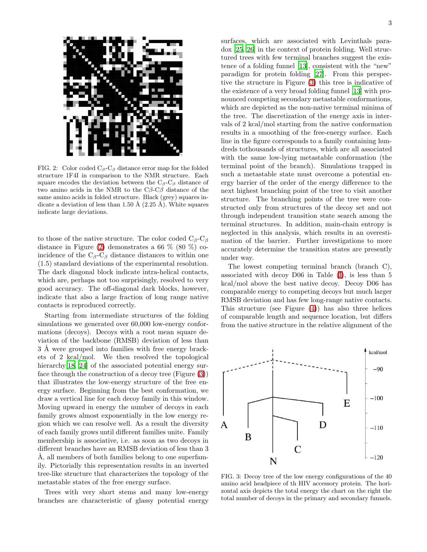

FIG. 2: Color coded  $C_\beta$ - $C_\beta$  distance error map for the folded structure 1F4I in comparison to the NMR structure. Each square encodes the deviation between the  $C_\beta$ - $C_\beta$  distance of two amino acids in the NMR to the  $C\beta$ -C $\beta$  distance of the same amino acids in folded structure. Black (grey) squares indicate a deviation of less than 1.50 Å  $(2.25 \text{ Å})$ . White squares indicate large deviations.

<span id="page-2-0"></span>to those of the native structure. The color coded  $C_\beta$ - $C_\beta$ distance in Figure [\(2\)](#page-2-0) demonstrates a 66 % (80 %) coincidence of the  $C_\beta$ - $C_\beta$  distance distances to within one (1.5) standard deviations of the experimental resolution. The dark diagonal block indicate intra-helical contacts, which are, perhaps not too surprisingly, resolved to very good accuracy. The off-diagonal dark blocks, however, indicate that also a large fraction of long range native contacts is reproduced correctly.

Starting from intermediate structures of the folding simulations we generated over 60,000 low-energy conformations (decoys). Decoys with a root mean square deviation of the backbone (RMSB) deviation of less than 3 Å were grouped into families with free energy brackets of 2 kcal/mol. We then resolved the topological hierarchy<sup>[18]</sup>, [24\]](#page-4-4) of the associated potential energy surface through the construction of a decoy tree (Figure [\(3\)](#page-2-1)) that illustrates the low-energy structure of the free energy surface. Beginning from the best conformation, we draw a vertical line for each decoy family in this window. Moving upward in energy the number of decoys in each family grows almost exponentially in the low energy region which we can resolve well. As a result the diversity of each family grows until different families unite. Family membership is associative, i.e. as soon as two decoys in different branches have an RMSB deviation of less than 3 A, all members of both families belong to one superfamily. Pictorially this representation results in an inverted tree-like structure that characterizes the topology of the metastable states of the free energy surface.

Trees with very short stems and many low-energy branches are characteristic of glassy potential energy surfaces, which are associated with Levinthals paradox [\[25](#page-4-5), [26](#page-4-6)] in the context of protein folding. Well structured trees with few terminal branches suggest the existence of a folding funnel [\[13](#page-3-12)], consistent with the "new" paradigm for protein folding [\[27\]](#page-4-7). From this perspective the structure in Figure [\(3\)](#page-2-1) this tree is indicative of the existence of a very broad folding funnel [\[13\]](#page-3-12) with pronounced competing secondary metastable conformations, which are depicted as the non-native terminal minima of the tree. The discretization of the energy axis in intervals of 2 kcal/mol starting from the native conformation results in a smoothing of the free-energy surface. Each line in the figure corresponds to a family containing hundreds tothousands of structures, which are all associated with the same low-lying metastable conformation (the terminal point of the branch). Simulations trapped in such a metastable state must overcome a potential energy barrier of the order of the energy difference to the next highest branching point of the tree to visit another structure. The branching points of the tree were constructed only from structures of the decoy set and not through independent transition state search among the terminal structures. In addition, main-chain entropy is neglected in this analysis, which results in an overestimation of the barrier. Further investigations to more accurately determine the transition states are presently under way.

The lowest competing terminal branch (branch C), associated with decoy D06 in Table [\(I\)](#page-1-0), is less than 5 kcal/mol above the best native decoy. Decoy D06 has comparable energy to competing decoys but much larger RMSB deviation and has few long-range native contacts. This structure (see Figure [\(4\)](#page-3-19)) has also three helices of comparable length and sequence location, but differs from the native structure in the relative alignment of the



<span id="page-2-1"></span>FIG. 3: Decoy tree of the low energy configurations of the 40 amino acid headpiece of th HIV accessory protein. The horizontal axis depicts the total energy the chart on the right the total number of decoys in the primary and secondary funnels.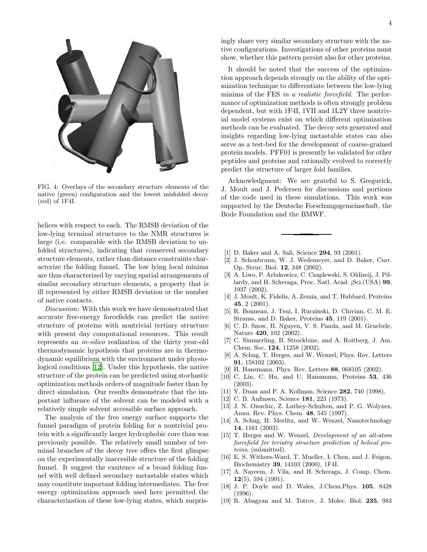

FIG. 4: Overlays of the secondary structure elements of the native (green) configuration and the lowest misfolded decoy (red) of 1F4I.

<span id="page-3-19"></span>helices with respect to each. The RMSB deviation of the low-lying terminal structures to the NMR structures is large (i.e. comparable with the RMSB deviation to unfolded structures), indicating that conserved secondary structure elements, rather than distance constraints characterize the folding funnel. The low lying local minima are thus characterized by varying spatial arrangements of similar secondary structure elements, a property that is ill represented by either RMSB deviation or the number of native contacts.

Discussion: With this work we have demonstrated that accurate free-energy forcefields can predict the native structure of proteins with nontrivial tertiary structure with present day computational resources. This result represents an in-silico realization of the thirty year-old thermodynamic hypothesis that proteins are in thermodynamic equilibrium with the environment under physiological conditions [\[12\]](#page-3-11). Under this hypothesis, the native structure of the protein can be predicted using stochastic optimization methods orders of magnitude faster than by direct simulation. Our results demonstrate that the important influence of the solvent can be modeled with a relatively simple solvent accessible surface approach.

The analysis of the free energy surface supports the funnel paradigm of protein folding for a nontrivial protein with a significantly larger hydrophobic core than was previously possible. The relatively small number of terminal branches of the decoy tree offers the first glimpse on the experimentally inaccesible structure of the folding funnel. It suggest the exsitence of a broad folding funnel with well defined secondary metastable states which may constitute important folding intermediates. The free energy optimization approach used here permitted the characterization of these low-lying states, which surprisingly share very similar secondary structure with the native configurations. Investigations of other proteins must show, whether this pattern persist also for other proteins.

It should be noted that the success of the optimization approach depends strongly on the ability of the optimization technique to differentiate between the low-lying minima of the FES in a realistic forcefield. The performance of optimization methods is often strongly problem dependent, but with 1F4I, 1VII and 1L2Y three nontrivial model systems exist on which different optimization methods can be evaluated. The decoy sets generated and insights regarding low-lying metastable states can also serve as a test-bed for the development of coarse-grained protein models. PFF01 is presently be validated for other peptides and proteins and rationally evolved to correctly predict the structure of larger fold families.

Acknowledgment: We are grateful to S. Gregurick, J. Moult and J. Pedersen for discussions and portions of the code used in these simulations. This work was supported by the Deutsche Forschungsgemeinschaft, the Bode Foundation and the BMWF.

- <span id="page-3-0"></span>[1] D. Baker and A. Sali, Science **294**, 93 (2001).
- <span id="page-3-1"></span>[2] J. Schonbrunn, W. J. Wedemeyer, and D. Baker, Curr. Op. Struc. Biol. 12, 348 (2002).
- <span id="page-3-2"></span>[3] A. Liwo, P. Arlukowicz, C. Czaplewski, S. Oldizeij, J. Pillardy, and H. Scheraga, Proc. Natl. Acad. ¡Sci.(USA) 99, 1937 (2002).
- <span id="page-3-3"></span>[4] J. Moult, K. Fidelis, A. Zemia, and T. Hubbard, Proteins 45, 2 (2001).
- <span id="page-3-4"></span>[5] R. Bonneau, J. Tsui, I. Ruczinski, D. Chivian, C. M. E. Strauss, and D. Baker, Proteins 45, 119 (2001).
- <span id="page-3-5"></span>[6] C. D. Snow, H. Nguyen, V. S. Panda, and M. Gruebele, Nature 420, 102 (2002).
- <span id="page-3-6"></span>[7] C. Simmerling, B. Strockbine, and A. Roitberg, J. Am. Chem. Soc. 124, 11258 (2002).
- <span id="page-3-7"></span>[8] A. Schug, T. Herges, and W. Wenzel, Phys. Rev. Letters 91, 158102 (2003).
- [9] H. Hansmann, Phys. Rev. Letters 88, 068105 (2002).
- <span id="page-3-9"></span><span id="page-3-8"></span>[10] C. Lin, C. Hu, and U. Hansmann, Proteins 53, 436 (2003).
- <span id="page-3-10"></span>[11] Y. Duan and P. A. Kollman, Science **282**, 740 (1998).
- <span id="page-3-12"></span><span id="page-3-11"></span>[12] C. B. Anfinsen, Science 181, 223 (1973).
- [13] J. N. Onuchic, Z. Luthey-Schulten, and P. G. Wolynes, Annu. Rev. Phys. Chem. 48, 545 (1997).
- <span id="page-3-13"></span>[14] A. Schug, H. Merlitz, and W. Wenzel, Nanotechnology 14, 1161 (2003).
- <span id="page-3-14"></span>[15] T. Herges and W. Wenzel, Development of an all-atom forcefield for teriatry structure prediction of helical proteins, (submitted).
- <span id="page-3-15"></span>[16] E. S. Withers-Ward, T. Mueller, I. Chen, and J. Feigon, Biochemistry 39, 14103 (2000), 1F4I.
- <span id="page-3-16"></span>[17] A. Nayeem, J. Vila, and H. Scheraga, J. Comp. Chem. 12(5), 594 (1991).
- <span id="page-3-17"></span>[18] J. P. Doyle and D. Wales, J.Chem.Phys. 105, 8428 (1996).
- <span id="page-3-18"></span>[19] R. Abagyan and M. Totrov, J. Molec. Biol. 235, 983